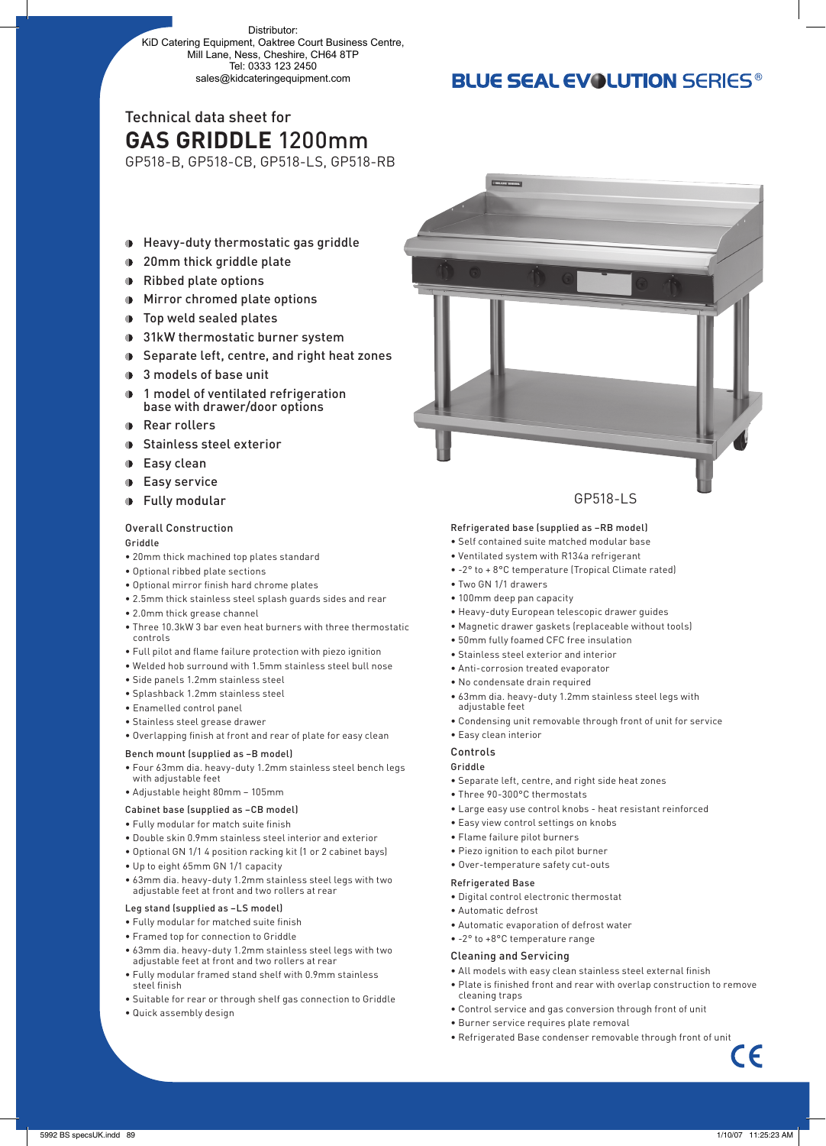Distributor: KiD Catering Equipment, Oaktree Court Business Centre, Mill Lane, Ness, Cheshire, CH64 8TP Tel: 0333 123 2450 sales@kidcateringequipment.com

### **BLUE SEAL EVOLUTION SERIES®**

## Technical data sheet for **GAS GRIDDLE** 1200mm

GP518-B, GP518-CB, GP518-LS, GP518-RB

- Heavy-duty thermostatic gas griddle
- **1** 20mm thick griddle plate
- Ribbed plate options
- Mirror chromed plate options
- **D** Top weld sealed plates
- **9** 31kW thermostatic burner system
- **■** Separate left, centre, and right heat zones
- 3 models of base unit
- 1 model of ventilated refrigeration base with drawer/door options
- **Rear rollers**
- **Stainless steel exterior**
- **D** Easy clean
- **Easy service**
- **Fully modular**

#### Overall Construction

#### Griddle

- 20mm thick machined top plates standard
- Optional ribbed plate sections
- Optional mirror finish hard chrome plates
- 2.5mm thick stainless steel splash guards sides and rear
- 2.0mm thick grease channel
- Three 10.3kW 3 bar even heat burners with three thermostatic controls
- Full pilot and flame failure protection with piezo ignition
- Welded hob surround with 1.5mm stainless steel bull nose
- Side panels 1.2mm stainless steel
- Splashback 1.2mm stainless steel
- Enamelled control panel
- Stainless steel grease drawer
- Overlapping finish at front and rear of plate for easy clean

#### Bench mount (supplied as –B model)

- Four 63mm dia. heavy-duty 1.2mm stainless steel bench legs with adjustable feet
- Adjustable height 80mm 105mm

#### Cabinet base (supplied as –CB model)

- Fully modular for match suite finish
- Double skin 0.9mm stainless steel interior and exterior
- Optional GN 1/1 4 position racking kit (1 or 2 cabinet bays)
- Up to eight 65mm GN 1/1 capacity
- 63mm dia. heavy-duty 1.2mm stainless steel legs with two adjustable feet at front and two rollers at rear

#### Leg stand (supplied as –LS model)

- Fully modular for matched suite finish
- Framed top for connection to Griddle
- 63mm dia. heavy-duty 1.2mm stainless steel legs with two adjustable feet at front and two rollers at rear
- Fully modular framed stand shelf with 0.9mm stainless steel finish
- Suitable for rear or through shelf gas connection to Griddle
- Quick assembly design



#### Refrigerated base (supplied as –RB model)

- Self contained suite matched modular base
- Ventilated system with R134a refrigerant
- -2° to + 8°C temperature (Tropical Climate rated)
- Two GN 1/1 drawers
- 100mm deep pan capacity
- Heavy-duty European telescopic drawer guides
- Magnetic drawer gaskets (replaceable without tools)
- 50mm fully foamed CFC free insulation
- Stainless steel exterior and interior
- Anti-corrosion treated evaporator
- No condensate drain required
- 63mm dia. heavy-duty 1.2mm stainless steel legs with adjustable feet
- Condensing unit removable through front of unit for service • Easy clean interior

### Controls

#### Griddle

- Separate left, centre, and right side heat zones
- Three 90-300°C thermostats
- Large easy use control knobs heat resistant reinforced
- Easy view control settings on knobs
- Flame failure pilot burners
- Piezo ignition to each pilot burner
- Over-temperature safety cut-outs

#### Refrigerated Base

- Digital control electronic thermostat
- Automatic defrost
- Automatic evaporation of defrost water
- -2° to +8°C temperature range

#### Cleaning and Servicing

- All models with easy clean stainless steel external finish
- Plate is finished front and rear with overlap construction to remove cleaning traps
- Control service and gas conversion through front of unit
- Burner service requires plate removal
- Refrigerated Base condenser removable through front of unit